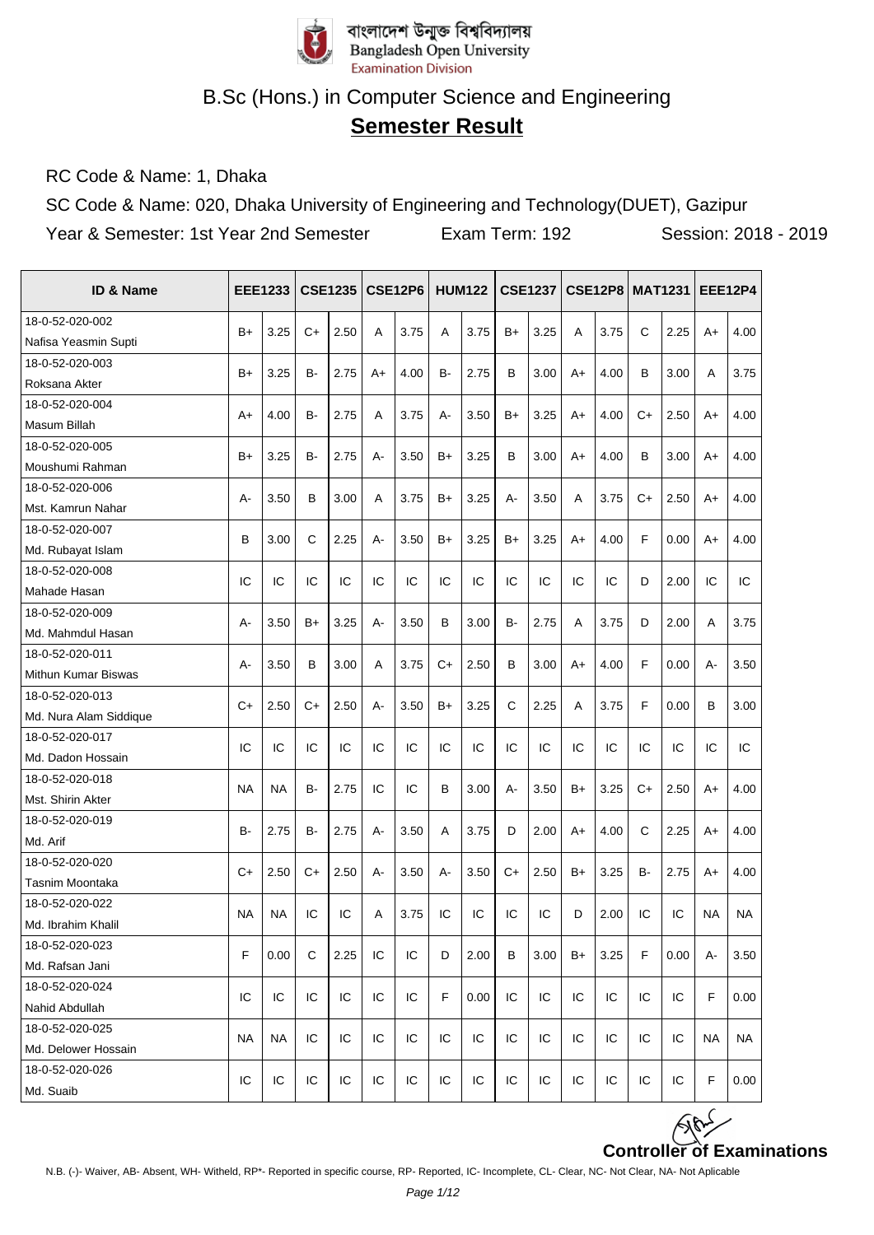

# **Semester Result**

RC Code & Name: 1, Dhaka

SC Code & Name: 020, Dhaka University of Engineering and Technology(DUET), Gazipur

| ID & Name              |           | <b>EEE1233</b> |           | <b>CSE1235</b> |       | <b>CSE12P6</b> |      | <b>HUM122</b> |     | <b>CSE1237</b> |      | <b>CSE12P8   MAT1231</b> |      |      | <b>EEE12P4</b> |           |
|------------------------|-----------|----------------|-----------|----------------|-------|----------------|------|---------------|-----|----------------|------|--------------------------|------|------|----------------|-----------|
| 18-0-52-020-002        | $B+$      | 3.25           | $C+$      | 2.50           |       | 3.75           |      | 3.75          |     | 3.25           |      | 3.75                     | C    | 2.25 |                | 4.00      |
| Nafisa Yeasmin Supti   |           |                |           |                | A     |                | Α    |               | B+  |                | Α    |                          |      |      | $A+$           |           |
| 18-0-52-020-003        |           |                |           |                |       |                |      |               |     |                |      |                          |      |      |                |           |
| Roksana Akter          | $B+$      | 3.25           | B-        | 2.75           | A+    | 4.00           | B-   | 2.75          | B   | 3.00           | A+   | 4.00                     | B    | 3.00 | A              | 3.75      |
| 18-0-52-020-004        |           |                |           |                |       |                |      |               |     |                |      | 4.00                     |      |      |                |           |
| Masum Billah           | A+        | 4.00           | B-        | 2.75           | Α     | 3.75           | А-   | 3.50          | B+  | 3.25           | A+   |                          | $C+$ | 2.50 | $A+$           | 4.00      |
| 18-0-52-020-005        | $B+$      | 3.25           | в-        | 2.75           | $A -$ | 3.50           | $B+$ | 3.25          | B   | 3.00           | $A+$ | 4.00                     | B    | 3.00 | $A+$           | 4.00      |
| Moushumi Rahman        |           |                |           |                |       |                |      |               |     |                |      |                          |      |      |                |           |
| 18-0-52-020-006        | А-        | 3.50           | B         |                | A     | 3.75           | $B+$ | 3.25          | A-  | 3.50           |      | 3.75                     | $C+$ | 2.50 | $A+$           | 4.00      |
| Mst. Kamrun Nahar      |           |                |           | 3.00           |       |                |      |               |     |                | Α    |                          |      |      |                |           |
| 18-0-52-020-007        | B         | 3.00           | C         | 2.25           | А-    | 3.50           | $B+$ | 3.25          | B+  | 3.25           | A+   | 4.00                     | F    | 0.00 | A+             | 4.00      |
| Md. Rubayat Islam      |           |                |           |                |       |                |      |               |     |                |      |                          |      |      |                |           |
| 18-0-52-020-008        | IC        | IC             | IC        | IC             | IC    | IC             | IC   | IC            | IC  | IC             | IC   | IC                       | D    | 2.00 | IC             | IC        |
| Mahade Hasan           |           |                |           |                |       |                |      |               |     |                |      |                          |      |      |                |           |
| 18-0-52-020-009        | А-        | 3.50           | B+        | 3.25           | А-    | 3.50           | B    | 3.00          | в-  | 2.75           | Α    | 3.75                     | D    | 2.00 | A              | 3.75      |
| Md. Mahmdul Hasan      |           |                |           |                |       |                |      |               |     |                |      |                          |      |      |                |           |
| 18-0-52-020-011        | А-        | 3.50           | B         | 3.00           | Α     | 3.75           | $C+$ | 2.50          | B   | 3.00           | A+   | 4.00                     | F    | 0.00 | А-             | 3.50      |
| Mithun Kumar Biswas    |           |                |           |                |       |                |      |               |     |                |      |                          |      |      |                |           |
| 18-0-52-020-013        | $C+$      | 2.50           | $C+$      | 2.50           | A-    | 3.50           | $B+$ | 3.25          | C   | 2.25           | A    | 3.75                     | F    | 0.00 | B              | 3.00      |
| Md. Nura Alam Siddique |           |                |           |                |       |                |      |               |     |                |      |                          |      |      |                |           |
| 18-0-52-020-017        | IC        | IC             | IC        | IC             | IC    | IC             | IC   | IC            | IC  | IC             | IC   | IC                       | IC   | IC   | IC             | IC        |
| Md. Dadon Hossain      |           |                |           |                |       |                |      |               |     |                |      |                          |      |      |                |           |
| 18-0-52-020-018        | <b>NA</b> | <b>NA</b>      | <b>B-</b> | 2.75           | IC    | IC             | B    | 3.00          | A-  | 3.50           | $B+$ | 3.25                     | $C+$ | 2.50 | $A+$           | 4.00      |
| Mst. Shirin Akter      |           |                |           |                |       |                |      |               |     |                |      |                          |      |      |                |           |
| 18-0-52-020-019        | в-        | 2.75           | B-        | 2.75           | А-    | 3.50           | A    | 3.75          | D   | 2.00           | A+   | 4.00                     | C    | 2.25 | $A+$           | 4.00      |
| Md. Arif               |           |                |           |                |       |                |      |               |     |                |      |                          |      |      |                |           |
| 18-0-52-020-020        | $C+$      | 2.50           | C+        | 2.50           | А-    | 3.50           | А-   | 3.50          | C+  | 2.50           | B+   | 3.25                     | B-   | 2.75 | $A+$           | 4.00      |
| Tasnim Moontaka        |           |                |           |                |       |                |      |               |     |                |      |                          |      |      |                |           |
| 18-0-52-020-022        | <b>NA</b> | <b>NA</b>      | IC        | IC             | A     | 3.75           | IC   | IC            | IC  | IC             | D    | 2.00                     | IC   | IC   | <b>NA</b>      | <b>NA</b> |
| Md. Ibrahim Khalil     |           |                |           |                |       |                |      |               |     |                |      |                          |      |      |                |           |
| 18-0-52-020-023        | F         | 0.00           | C         | 2.25           | IC    | IC             | D    | 2.00          | в   | 3.00           | B+   | 3.25                     | F    | 0.00 | $A -$          | 3.50      |
| Md. Rafsan Jani        |           |                |           |                |       |                |      |               |     |                |      |                          |      |      |                |           |
| 18-0-52-020-024        | IC        | IC             | IC        | IC             | IC    | IC             | F    | 0.00          | IC  | IC             | IC   | IC                       | IC   | IC   | F              | 0.00      |
| Nahid Abdullah         |           |                |           |                |       |                |      |               |     |                |      |                          |      |      |                |           |
| 18-0-52-020-025        | <b>NA</b> | <b>NA</b>      | IC        | IC             | IC    | IC             | IC   | IC            | IC  | IC             | IC   | IC                       | IC   | IC   | <b>NA</b>      | NA        |
| Md. Delower Hossain    |           |                |           |                |       |                |      |               |     |                |      |                          |      |      |                |           |
| 18-0-52-020-026        | IC        | IC             | IC        | ${\sf IC}$     | IC    | IC             | IC   | IC            | IC. | IC             | IC.  | IC                       | IC   | IC   | F              | 0.00      |
| Md. Suaib              |           |                |           |                |       |                |      |               |     |                |      |                          |      |      |                |           |

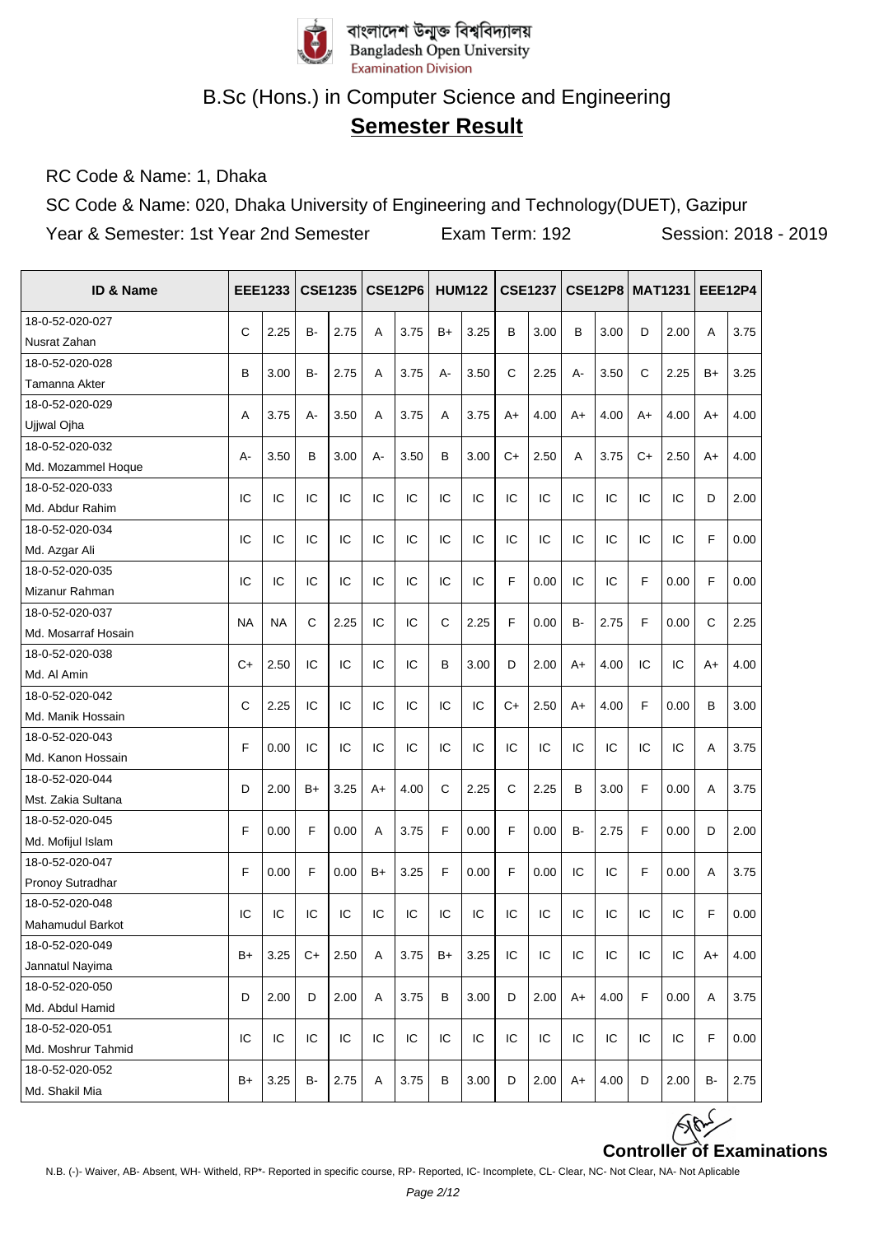

# **Semester Result**

RC Code & Name: 1, Dhaka

SC Code & Name: 020, Dhaka University of Engineering and Technology(DUET), Gazipur

| ID & Name           |           | <b>EEE1233</b> |      | <b>CSE1235</b> |      | <b>CSE12P6</b> |              | <b>HUM122</b> |              | <b>CSE1237</b> |           | <b>CSE12P8   MAT1231</b> |              |      | <b>EEE12P4</b> |      |
|---------------------|-----------|----------------|------|----------------|------|----------------|--------------|---------------|--------------|----------------|-----------|--------------------------|--------------|------|----------------|------|
| 18-0-52-020-027     |           |                |      |                |      |                |              |               |              |                |           |                          |              |      |                |      |
| Nusrat Zahan        | C         | 2.25           | B-   | 2.75           | Α    | 3.75           | $B+$         | 3.25          | B            | 3.00           | в         | 3.00                     | D            | 2.00 | A              | 3.75 |
| 18-0-52-020-028     |           |                |      |                |      |                |              |               | $\mathsf{C}$ |                |           |                          | $\mathsf{C}$ |      |                |      |
| Tamanna Akter       | B         | 3.00           | B-   | 2.75           | Α    | 3.75           | A-           | 3.50          |              | 2.25           | А-        | 3.50                     |              | 2.25 | B+             | 3.25 |
| 18-0-52-020-029     |           | 3.75           | A-   | 3.50           |      | 3.75           |              | 3.75          |              | 4.00           |           | 4.00                     |              | 4.00 |                | 4.00 |
| Ujjwal Ojha         | Α         |                |      |                | Α    |                | Α            |               | A+           |                | A+        |                          | A+           |      | A+             |      |
| 18-0-52-020-032     | А-        | 3.50           | B    | 3.00           | А-   | 3.50           | B            | 3.00          | $C+$         | 2.50           | A         | 3.75                     | $C+$         | 2.50 | $A+$           | 4.00 |
| Md. Mozammel Hoque  |           |                |      |                |      |                |              |               |              |                |           |                          |              |      |                |      |
| 18-0-52-020-033     | IC        | IC             | IC   | IC             | IC   | IC             | IC           | IC            | IC           | IC             | IC        | IC                       | IC           | IC   | D              | 2.00 |
| Md. Abdur Rahim     |           |                |      |                |      |                |              |               |              |                |           |                          |              |      |                |      |
| 18-0-52-020-034     | IC        | IC             | IC   | IC             | IC   | IC             | IC           | IC            | IC           | IC             | IC        | IC                       | IC           | IC   | F              | 0.00 |
| Md. Azgar Ali       |           |                |      |                |      |                |              |               |              |                |           |                          |              |      |                |      |
| 18-0-52-020-035     | IC        | IC             | IC   | IC             | IC   | IC             | IC           | IC            | F            | 0.00           | IC        | IC                       | F            | 0.00 | F              | 0.00 |
| Mizanur Rahman      |           |                |      |                |      |                |              |               |              |                |           |                          |              |      |                |      |
| 18-0-52-020-037     | <b>NA</b> | <b>NA</b>      | C    | 2.25           | IC   | IC             | $\mathsf{C}$ | 2.25          | F            | 0.00           | <b>B-</b> | 2.75                     | F            | 0.00 | C              | 2.25 |
| Md. Mosarraf Hosain |           |                |      |                |      |                |              |               |              |                |           |                          |              |      |                |      |
| 18-0-52-020-038     | $C+$      | 2.50           | IC   | IC             | IC   | IC             | B            | 3.00          | D            | 2.00           |           | 4.00                     | IC           | IC   |                | 4.00 |
| Md. Al Amin         |           |                |      |                |      |                |              |               |              |                | A+        |                          |              |      | A+             |      |
| 18-0-52-020-042     | C         | 2.25           | IC   | IC             | IC   | IC             | IC           | IC            | $C+$         | 2.50           | A+        | 4.00                     | F            | 0.00 | B              | 3.00 |
| Md. Manik Hossain   |           |                |      |                |      |                |              |               |              |                |           |                          |              |      |                |      |
| 18-0-52-020-043     | F         | 0.00           | IC   | IC             | IC   | IC             | IC           | IC            | IC           | IC             | IC        | IC                       | IC           | IC   | A              | 3.75 |
| Md. Kanon Hossain   |           |                |      |                |      |                |              |               |              |                |           |                          |              |      |                |      |
| 18-0-52-020-044     | D         | 2.00           | B+   | 3.25           | A+   | 4.00           | $\mathsf{C}$ | 2.25          | C            | 2.25           | В         | 3.00                     | F            | 0.00 | A              | 3.75 |
| Mst. Zakia Sultana  |           |                |      |                |      |                |              |               |              |                |           |                          |              |      |                |      |
| 18-0-52-020-045     | F         | 0.00           | F    | 0.00           | Α    | 3.75           | F            | 0.00          | F            | 0.00           | B-        | 2.75                     | F            | 0.00 | D              | 2.00 |
| Md. Mofijul Islam   |           |                |      |                |      |                |              |               |              |                |           |                          |              |      |                |      |
| 18-0-52-020-047     | F         | 0.00           | F    | 0.00           | $B+$ | 3.25           | F            | 0.00          | F            | 0.00           | IC        | IC                       | F            | 0.00 | A              | 3.75 |
| Pronoy Sutradhar    |           |                |      |                |      |                |              |               |              |                |           |                          |              |      |                |      |
| 18-0-52-020-048     | IC        | IC             | IC   | IC             | IC   | IC             | IC           | IC            | IC           | IC             | IC        | IC                       | IC           | IC   | F              | 0.00 |
| Mahamudul Barkot    |           |                |      |                |      |                |              |               |              |                |           |                          |              |      |                |      |
| 18-0-52-020-049     | $B+$      | 3.25           | $C+$ | 2.50           | A    | 3.75           | $B+$         | 3.25          | IC           | IC             | IC        | IC                       | IC           | IC   | A+             | 4.00 |
| Jannatul Nayima     |           |                |      |                |      |                |              |               |              |                |           |                          |              |      |                |      |
| 18-0-52-020-050     | D         | 2.00           | D    | 2.00           | Α    | 3.75           | B            | 3.00          | D            | 2.00           | $A+$      | 4.00                     | F            | 0.00 | A              | 3.75 |
| Md. Abdul Hamid     |           |                |      |                |      |                |              |               |              |                |           |                          |              |      |                |      |
| 18-0-52-020-051     | IC        | IC             | IC   | IC             | IC   | IC             | IC           | IC            | IC           | IC             | IC        | IC                       | IC           | IC   | F              | 0.00 |
| Md. Moshrur Tahmid  |           |                |      |                |      |                |              |               |              |                |           |                          |              |      |                |      |
| 18-0-52-020-052     | B+        | 3.25           | B-   | 2.75           | Α    | 3.75           | В            | 3.00          | D            | 2.00           | $A+$      | 4.00                     | D            | 2.00 | В-             | 2.75 |
| Md. Shakil Mia      |           |                |      |                |      |                |              |               |              |                |           |                          |              |      |                |      |

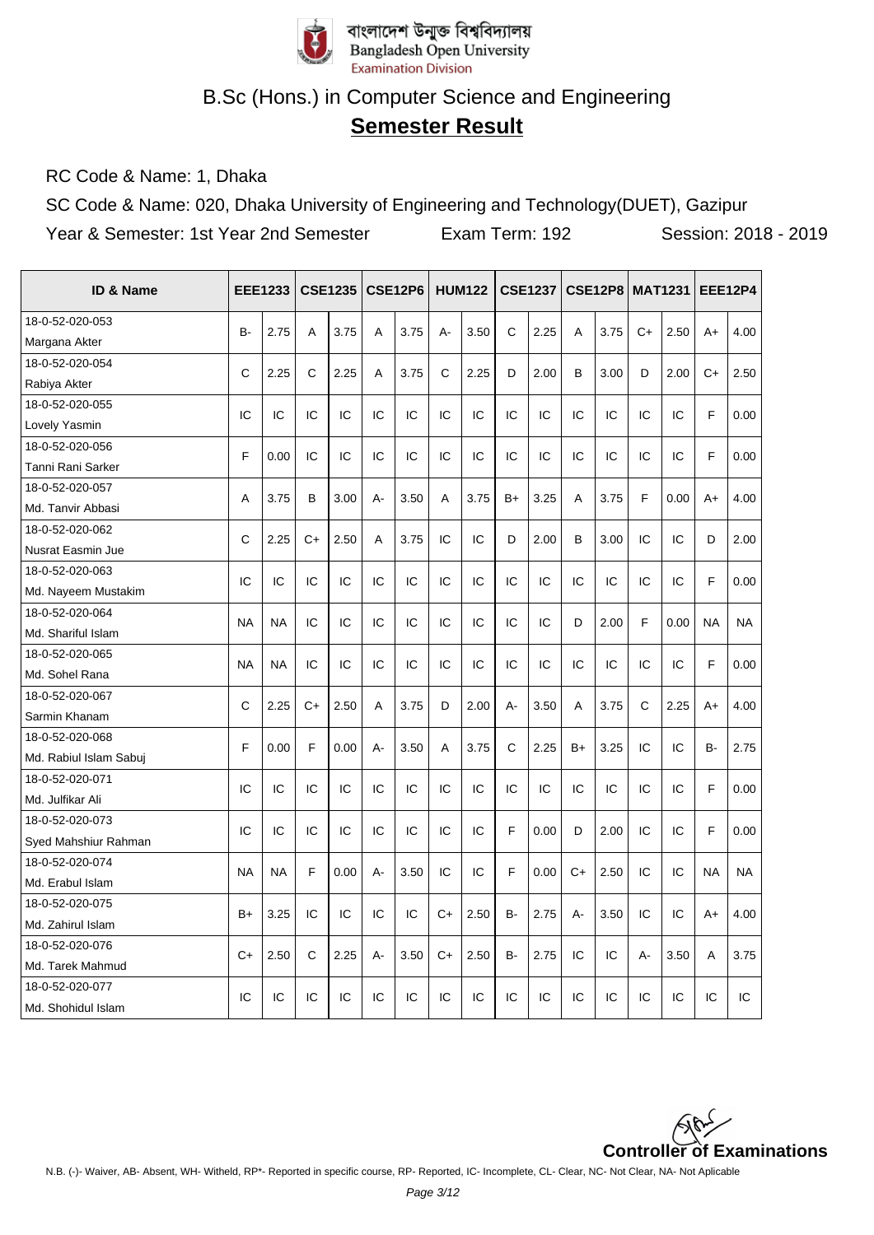

# **Semester Result**

RC Code & Name: 1, Dhaka

SC Code & Name: 020, Dhaka University of Engineering and Technology(DUET), Gazipur

| <b>ID &amp; Name</b>                |              | <b>EEE1233</b> |      | <b>CSE1235</b> |    | <b>CSE12P6</b> |      | <b>HUM122</b> |       | <b>CSE1237</b> |      | <b>CSE12P8 MAT1231</b> |              |      |           | <b>EEE12P4</b> |
|-------------------------------------|--------------|----------------|------|----------------|----|----------------|------|---------------|-------|----------------|------|------------------------|--------------|------|-----------|----------------|
| 18-0-52-020-053                     | B-           | 2.75           | A    | 3.75           | A  | 3.75           | А-   | 3.50          | C     | 2.25           | A    | 3.75                   | $C+$         | 2.50 | $A+$      | 4.00           |
| Margana Akter                       |              |                |      |                |    |                |      |               |       |                |      |                        |              |      |           |                |
| 18-0-52-020-054                     | C            | 2.25           | C    | 2.25           | A  | 3.75           | C    | 2.25          | D     | 2.00           | B    | 3.00                   | D            | 2.00 | C+        | 2.50           |
| Rabiya Akter                        |              |                |      |                |    |                |      |               |       |                |      |                        |              |      |           |                |
| 18-0-52-020-055                     | IC           | IC             | IC   | IC             | IC | IC             | IC   | IC            | IC    | IC             | IC   | IC                     | IC           | IC   | F         | 0.00           |
| Lovely Yasmin                       |              |                |      |                |    |                |      |               |       |                |      |                        |              |      |           |                |
| 18-0-52-020-056                     | F            | 0.00           | IC   | IC             | IC | IC             | IC   | IC            | IC    | IC             | IC   | IC                     | IC           | IC   | F         | 0.00           |
| Tanni Rani Sarker                   |              |                |      |                |    |                |      |               |       |                |      |                        |              |      |           |                |
| 18-0-52-020-057                     | Α            | 3.75           | B    | 3.00           | А- | 3.50           | A    | 3.75          | $B+$  | 3.25           | Α    | 3.75                   | F            | 0.00 | $A+$      | 4.00           |
| Md. Tanvir Abbasi                   |              |                |      |                |    |                |      |               |       |                |      |                        |              |      |           |                |
| 18-0-52-020-062                     | $\mathsf{C}$ | 2.25           | $C+$ | 2.50           | A  | 3.75           | IC   | IC            | D     | 2.00           | B    | 3.00                   | IC           | IC   | D         | 2.00           |
| Nusrat Easmin Jue                   |              |                |      |                |    |                |      |               |       |                |      |                        |              |      |           |                |
| 18-0-52-020-063                     | IC           | IC             | IC   | IC             | IC | IC             | IC   | IC            | IC    | IC             | IC   | IC                     | IC           | IC   | F         | 0.00           |
| Md. Nayeem Mustakim                 |              |                |      |                |    |                |      |               |       |                |      |                        |              |      |           |                |
| 18-0-52-020-064                     | <b>NA</b>    | <b>NA</b>      | IC   | IC             | IC | IC             | IC   | IC            | IC    | IC             | D    | 2.00                   | F            | 0.00 | <b>NA</b> | <b>NA</b>      |
| Md. Shariful Islam                  |              |                |      |                |    |                |      |               |       |                |      |                        |              |      |           |                |
| 18-0-52-020-065                     | <b>NA</b>    | <b>NA</b>      | IC   | IC             | IC | IC             | IC   | IC            | IC    | IC             | IC   | IC                     | IC           | IC   | F         | 0.00           |
| Md. Sohel Rana                      |              |                |      |                |    |                |      |               |       |                |      |                        |              |      |           |                |
| 18-0-52-020-067                     | C            | 2.25           | $C+$ | 2.50           | A  | 3.75           | D    | 2.00          | $A -$ | 3.50           | A    | 3.75                   | $\mathsf{C}$ | 2.25 | $A+$      | 4.00           |
| Sarmin Khanam                       |              |                |      |                |    |                |      |               |       |                |      |                        |              |      |           |                |
| 18-0-52-020-068                     | F            | 0.00           | F    | 0.00           | А- | 3.50           | A    | 3.75          | C     | 2.25           | $B+$ | 3.25                   | IC           | IC   | B-        | 2.75           |
| Md. Rabiul Islam Sabui              |              |                |      |                |    |                |      |               |       |                |      |                        |              |      |           |                |
| 18-0-52-020-071                     | IC           | IC             | IC   | IC             | IC | IC             | IC   | IC            | IC    | IC             | IC   | IC                     | IC           | IC   | F         | 0.00           |
| Md. Julfikar Ali                    |              |                |      |                |    |                |      |               |       |                |      |                        |              |      |           |                |
| 18-0-52-020-073                     | IC           | IC             | IC   | IC             | IC | IC             | IC   | IC            | F     | 0.00           | D    | 2.00                   | IC           | IC   | F         | 0.00           |
| Syed Mahshiur Rahman                |              |                |      |                |    |                |      |               |       |                |      |                        |              |      |           |                |
| 18-0-52-020-074                     | <b>NA</b>    | <b>NA</b>      | F    | 0.00           | А- | 3.50           | IC   | IC            | F     | 0.00           | $C+$ | 2.50                   | IC           | IC   | <b>NA</b> | <b>NA</b>      |
| Md. Erabul Islam                    |              |                |      |                |    |                |      |               |       |                |      |                        |              |      |           |                |
| 18-0-52-020-075                     | $B+$         | 3.25           | IC   | IC             | IC | IC             | $C+$ | 2.50          | B-    | 2.75           | А-   | 3.50                   | IC           | IC   | A+        | 4.00           |
| Md. Zahirul Islam                   |              |                |      |                |    |                |      |               |       |                |      |                        |              |      |           |                |
| 18-0-52-020-076                     | $C+$         | 2.50           | C    | 2.25           | А- | 3.50           | $C+$ | 2.50          | B-    | 2.75           | IC   | IC                     | A-           | 3.50 | A         | 3.75           |
| Md. Tarek Mahmud<br>18-0-52-020-077 |              |                |      |                |    |                |      |               |       |                |      |                        |              |      |           |                |
|                                     | IC           | IC             | IC   | IC             | IC | IC             | IC   | IC            | IC    | IC             | IC   | IC                     | IC           | IC   | IC        | IC             |
| Md. Shohidul Islam                  |              |                |      |                |    |                |      |               |       |                |      |                        |              |      |           |                |

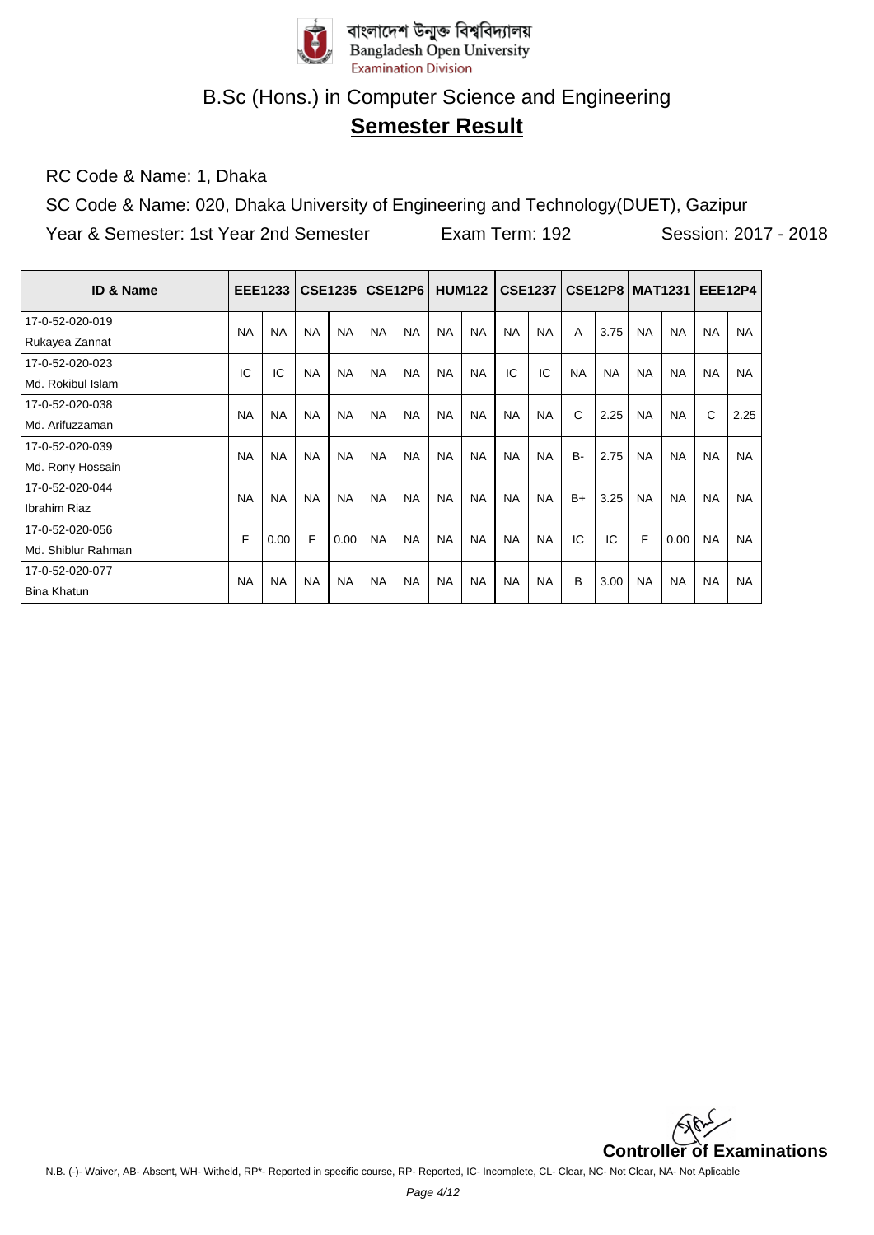

# **Semester Result**

RC Code & Name: 1, Dhaka

SC Code & Name: 020, Dhaka University of Engineering and Technology(DUET), Gazipur Year & Semester: 1st Year 2nd Semester Exam Term: 192 Session: 2017 - 2018

| <b>ID &amp; Name</b> |           | <b>EEE1233</b> |           | <b>CSE1235</b> |           | CSE12P6   |           | <b>HUM122</b> |           |           |           | <b>CSE1237   CSE12P8</b> |           | <b>MAT1231</b> | <b>EEE12P4</b> |           |
|----------------------|-----------|----------------|-----------|----------------|-----------|-----------|-----------|---------------|-----------|-----------|-----------|--------------------------|-----------|----------------|----------------|-----------|
| 17-0-52-020-019      | <b>NA</b> | <b>NA</b>      | <b>NA</b> | <b>NA</b>      | <b>NA</b> | <b>NA</b> | <b>NA</b> | <b>NA</b>     | <b>NA</b> | <b>NA</b> | A         | 3.75                     | <b>NA</b> | <b>NA</b>      | <b>NA</b>      | <b>NA</b> |
| Rukayea Zannat       |           |                |           |                |           |           |           |               |           |           |           |                          |           |                |                |           |
| 17-0-52-020-023      | IC        | IC             | <b>NA</b> | <b>NA</b>      | <b>NA</b> | <b>NA</b> | <b>NA</b> | <b>NA</b>     | IC        | IC        | <b>NA</b> | <b>NA</b>                | <b>NA</b> | <b>NA</b>      | <b>NA</b>      | <b>NA</b> |
| Md. Rokibul Islam    |           |                |           |                |           |           |           |               |           |           |           |                          |           |                |                |           |
| 17-0-52-020-038      | <b>NA</b> | <b>NA</b>      | <b>NA</b> | <b>NA</b>      | <b>NA</b> | <b>NA</b> | <b>NA</b> | <b>NA</b>     | <b>NA</b> | <b>NA</b> | C         | 2.25                     | <b>NA</b> | <b>NA</b>      | C              |           |
| Md. Arifuzzaman      |           |                |           |                |           |           |           |               |           |           |           |                          |           |                |                | 2.25      |
| 17-0-52-020-039      | <b>NA</b> | <b>NA</b>      | <b>NA</b> | <b>NA</b>      | <b>NA</b> | <b>NA</b> | <b>NA</b> | <b>NA</b>     | <b>NA</b> | <b>NA</b> | <b>B-</b> | 2.75                     | <b>NA</b> | <b>NA</b>      | <b>NA</b>      | <b>NA</b> |
| Md. Rony Hossain     |           |                |           |                |           |           |           |               |           |           |           |                          |           |                |                |           |
| 17-0-52-020-044      | <b>NA</b> | <b>NA</b>      | <b>NA</b> | <b>NA</b>      | <b>NA</b> | <b>NA</b> | <b>NA</b> | <b>NA</b>     | <b>NA</b> | <b>NA</b> | $B+$      | 3.25                     | <b>NA</b> | <b>NA</b>      | <b>NA</b>      | <b>NA</b> |
| Ibrahim Riaz         |           |                |           |                |           |           |           |               |           |           |           |                          |           |                |                |           |
| 17-0-52-020-056      | F         | 0.00           | F         | 0.00           | <b>NA</b> | <b>NA</b> | <b>NA</b> | <b>NA</b>     | <b>NA</b> | <b>NA</b> | IC        | IC                       | F         | 0.00           | <b>NA</b>      | <b>NA</b> |
| Md. Shiblur Rahman   |           |                |           |                |           |           |           |               |           |           |           |                          |           |                |                |           |
| 17-0-52-020-077      | <b>NA</b> | <b>NA</b>      | <b>NA</b> | <b>NA</b>      | <b>NA</b> | <b>NA</b> | <b>NA</b> | <b>NA</b>     | <b>NA</b> | <b>NA</b> | B         | 3.00                     | <b>NA</b> | <b>NA</b>      | <b>NA</b>      | <b>NA</b> |
| <b>Bina Khatun</b>   |           |                |           |                |           |           |           |               |           |           |           |                          |           |                |                |           |

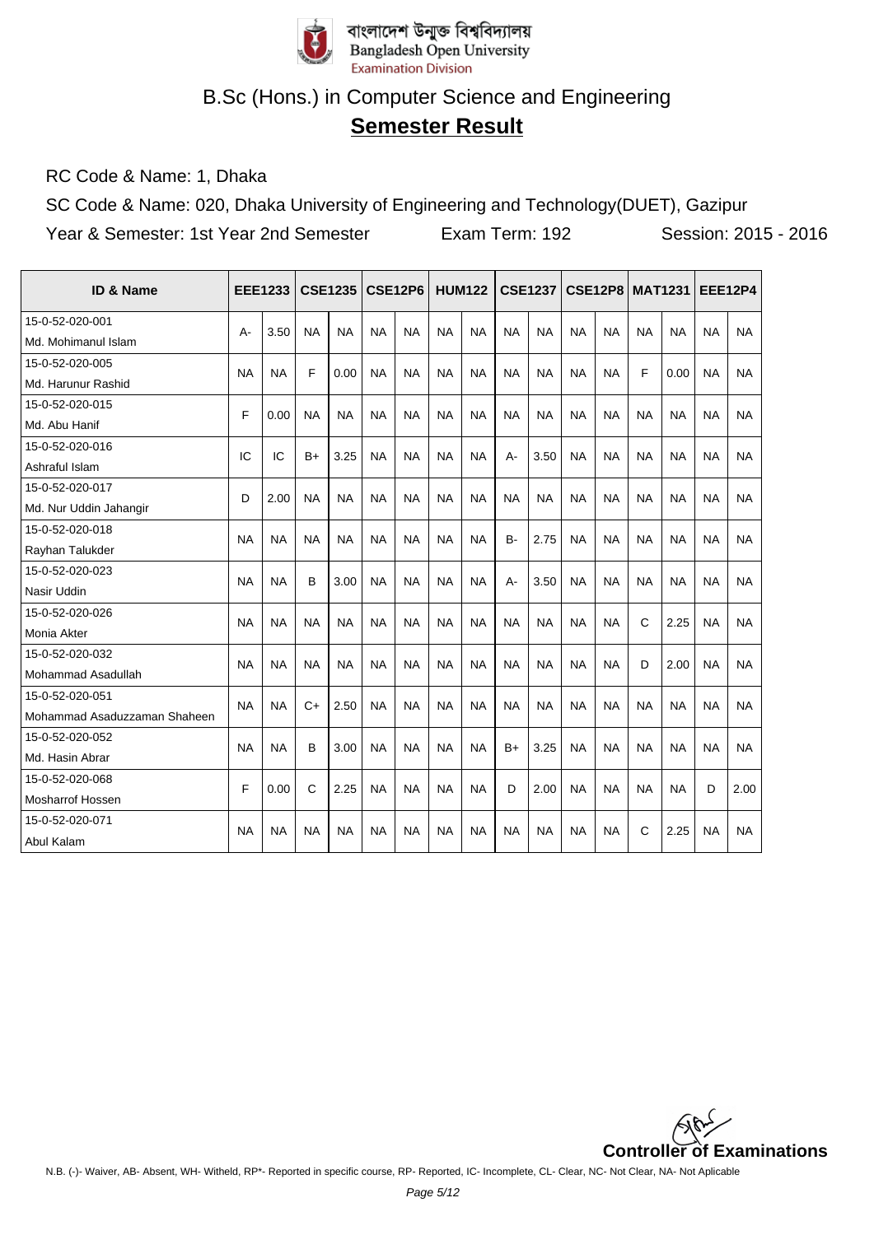

# **Semester Result**

RC Code & Name: 1, Dhaka

SC Code & Name: 020, Dhaka University of Engineering and Technology(DUET), Gazipur Year & Semester: 1st Year 2nd Semester Exam Term: 192 Session: 2015 - 2016

| ID & Name                    | <b>EEE1233</b> |           |           | <b>CSE1235</b> |           | <b>CSE12P6</b> |           | <b>HUM122</b> |           | <b>CSE1237</b> |           | <b>CSE12P8</b> | <b>MAT1231</b> |           | <b>EEE12P4</b> |           |
|------------------------------|----------------|-----------|-----------|----------------|-----------|----------------|-----------|---------------|-----------|----------------|-----------|----------------|----------------|-----------|----------------|-----------|
| 15-0-52-020-001              | A-             | 3.50      | <b>NA</b> | <b>NA</b>      | <b>NA</b> | <b>NA</b>      | <b>NA</b> | <b>NA</b>     | <b>NA</b> | <b>NA</b>      | <b>NA</b> | <b>NA</b>      | <b>NA</b>      | <b>NA</b> | <b>NA</b>      | <b>NA</b> |
| Md. Mohimanul Islam          |                |           |           |                |           |                |           |               |           |                |           |                |                |           |                |           |
| 15-0-52-020-005              | <b>NA</b>      | <b>NA</b> | F         | 0.00           | <b>NA</b> | <b>NA</b>      | <b>NA</b> | <b>NA</b>     | <b>NA</b> | <b>NA</b>      | <b>NA</b> | <b>NA</b>      | F              | 0.00      | <b>NA</b>      | <b>NA</b> |
| Md. Harunur Rashid           |                |           |           |                |           |                |           |               |           |                |           |                |                |           |                |           |
| 15-0-52-020-015              | F              | 0.00      | <b>NA</b> | <b>NA</b>      | <b>NA</b> | <b>NA</b>      | <b>NA</b> | <b>NA</b>     | <b>NA</b> | <b>NA</b>      | <b>NA</b> | <b>NA</b>      | <b>NA</b>      | <b>NA</b> | <b>NA</b>      | <b>NA</b> |
| Md. Abu Hanif                |                |           |           |                |           |                |           |               |           |                |           |                |                |           |                |           |
| 15-0-52-020-016              | IC             | IC        | B+        | 3.25           | <b>NA</b> | NA             | <b>NA</b> | <b>NA</b>     | $A -$     | 3.50           | <b>NA</b> | <b>NA</b>      | <b>NA</b>      | <b>NA</b> | <b>NA</b>      | <b>NA</b> |
| Ashraful Islam               |                |           |           |                |           |                |           |               |           |                |           |                |                |           |                |           |
| 15-0-52-020-017              | D              | 2.00      | <b>NA</b> | <b>NA</b>      | <b>NA</b> | <b>NA</b>      | <b>NA</b> | <b>NA</b>     | <b>NA</b> | <b>NA</b>      | <b>NA</b> | <b>NA</b>      | <b>NA</b>      | <b>NA</b> | <b>NA</b>      | <b>NA</b> |
| Md. Nur Uddin Jahangir       |                |           |           |                |           |                |           |               |           |                |           |                |                |           |                |           |
| 15-0-52-020-018              | <b>NA</b>      | <b>NA</b> | <b>NA</b> | <b>NA</b>      | <b>NA</b> | <b>NA</b>      | <b>NA</b> | <b>NA</b>     | B-        | 2.75           | <b>NA</b> | <b>NA</b>      | <b>NA</b>      | <b>NA</b> | <b>NA</b>      | <b>NA</b> |
| Rayhan Talukder              |                |           |           |                |           |                |           |               |           |                |           |                |                |           |                |           |
| 15-0-52-020-023              | <b>NA</b>      | <b>NA</b> | B         | 3.00           | <b>NA</b> | <b>NA</b>      | <b>NA</b> | <b>NA</b>     | A-        | 3.50           | <b>NA</b> | <b>NA</b>      | <b>NA</b>      | <b>NA</b> | <b>NA</b>      | <b>NA</b> |
| Nasir Uddin                  |                |           |           |                |           |                |           |               |           |                |           |                |                |           |                |           |
| 15-0-52-020-026              | <b>NA</b>      | <b>NA</b> | <b>NA</b> | <b>NA</b>      | <b>NA</b> | <b>NA</b>      | <b>NA</b> | <b>NA</b>     | <b>NA</b> | <b>NA</b>      | <b>NA</b> | <b>NA</b>      | $\mathbf C$    | 2.25      | <b>NA</b>      | <b>NA</b> |
| Monia Akter                  |                |           |           |                |           |                |           |               |           |                |           |                |                |           |                |           |
| 15-0-52-020-032              | <b>NA</b>      | <b>NA</b> | <b>NA</b> | <b>NA</b>      | <b>NA</b> | <b>NA</b>      | <b>NA</b> | <b>NA</b>     | <b>NA</b> | <b>NA</b>      | <b>NA</b> | <b>NA</b>      | D              | 2.00      | <b>NA</b>      | <b>NA</b> |
| Mohammad Asadullah           |                |           |           |                |           |                |           |               |           |                |           |                |                |           |                |           |
| 15-0-52-020-051              | <b>NA</b>      | <b>NA</b> | $C+$      | 2.50           | <b>NA</b> | <b>NA</b>      | <b>NA</b> | <b>NA</b>     | <b>NA</b> | <b>NA</b>      | <b>NA</b> | <b>NA</b>      | <b>NA</b>      | <b>NA</b> | <b>NA</b>      | <b>NA</b> |
| Mohammad Asaduzzaman Shaheen |                |           |           |                |           |                |           |               |           |                |           |                |                |           |                |           |
| 15-0-52-020-052              | <b>NA</b>      | <b>NA</b> | B         | 3.00           | <b>NA</b> | <b>NA</b>      | <b>NA</b> | <b>NA</b>     | $B+$      | 3.25           | <b>NA</b> | <b>NA</b>      | <b>NA</b>      | <b>NA</b> | <b>NA</b>      | <b>NA</b> |
| Md. Hasin Abrar              |                |           |           |                |           |                |           |               |           |                |           |                |                |           |                |           |
| 15-0-52-020-068              | F              | 0.00      | C         | 2.25           | <b>NA</b> | <b>NA</b>      | <b>NA</b> | <b>NA</b>     | D         | 2.00           | <b>NA</b> | <b>NA</b>      | <b>NA</b>      | <b>NA</b> | D              | 2.00      |
| Mosharrof Hossen             |                |           |           |                |           |                |           |               |           |                |           |                |                |           |                |           |
| 15-0-52-020-071              | <b>NA</b>      | <b>NA</b> | <b>NA</b> | <b>NA</b>      | <b>NA</b> | <b>NA</b>      | <b>NA</b> | <b>NA</b>     | <b>NA</b> | <b>NA</b>      | <b>NA</b> | <b>NA</b>      | $\mathsf{C}$   | 2.25      | <b>NA</b>      | <b>NA</b> |
| Abul Kalam                   |                |           |           |                |           |                |           |               |           |                |           |                |                |           |                |           |

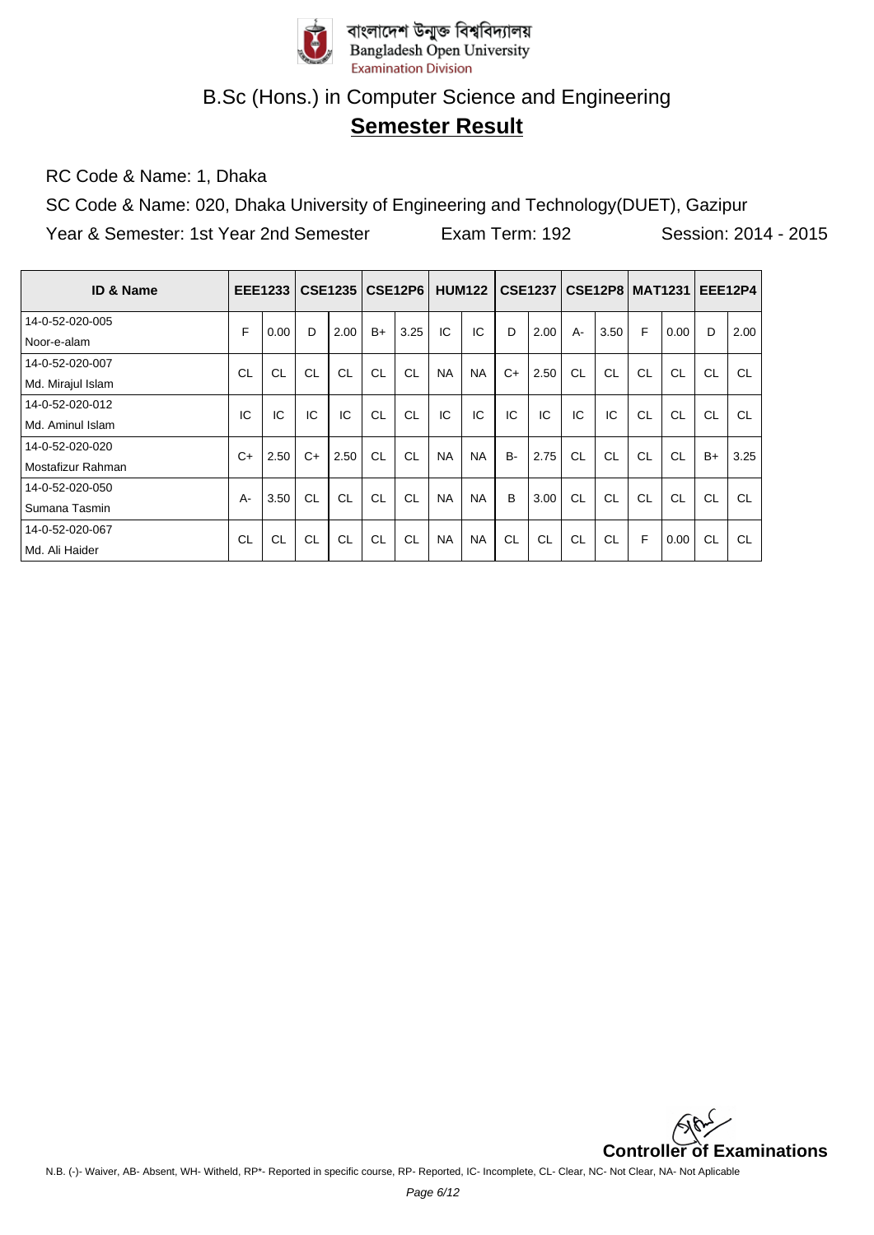

# **Semester Result**

RC Code & Name: 1, Dhaka

SC Code & Name: 020, Dhaka University of Engineering and Technology(DUET), Gazipur Year & Semester: 1st Year 2nd Semester Exam Term: 192 Session: 2014 - 2015

| <b>ID &amp; Name</b> |           | EEE1233   |           | <b>CSE1235</b> |           | <b>CSE12P6</b> |           | <b>HUM122</b> |       | CSE1237   CSE12P8   MAT1231 |           |      |           |           |           | <b>EEE12P4</b> |
|----------------------|-----------|-----------|-----------|----------------|-----------|----------------|-----------|---------------|-------|-----------------------------|-----------|------|-----------|-----------|-----------|----------------|
| 14-0-52-020-005      | F         | 0.00      | D         | 2.00           | $B+$      | 3.25           | IC        | IC            | D     | 2.00                        | $A -$     | 3.50 | F         | 0.00      | D         | 2.00           |
| Noor-e-alam          |           |           |           |                |           |                |           |               |       |                             |           |      |           |           |           |                |
| 14-0-52-020-007      | <b>CL</b> | CL        | CL        | <b>CL</b>      | <b>CL</b> | CL             | <b>NA</b> | <b>NA</b>     | $C+$  | 2.50                        | CL        | CL   | <b>CL</b> | CL        | <b>CL</b> | <b>CL</b>      |
| Md. Mirajul Islam    |           |           |           |                |           |                |           |               |       |                             |           |      |           |           |           |                |
| 14-0-52-020-012      | IC        | IC        | IC        | IC             | <b>CL</b> | CL             | IC        | IC            | IC    | IC                          | IC        | IC   | <b>CL</b> | <b>CL</b> | CL        | <b>CL</b>      |
| Md. Aminul Islam     |           |           |           |                |           |                |           |               |       |                             |           |      |           |           |           |                |
| 14-0-52-020-020      | $C+$      | 2.50      | $C+$      | 2.50           | <b>CL</b> | <b>CL</b>      | <b>NA</b> | <b>NA</b>     | $B -$ | 2.75                        | CL        | CL   | CL        | CL        | $B+$      | 3.25           |
| Mostafizur Rahman    |           |           |           |                |           |                |           |               |       |                             |           |      |           |           |           |                |
| 14-0-52-020-050      | A-        | 3.50      | CL        | CL             | <b>CL</b> | CL             | <b>NA</b> | <b>NA</b>     | B     | 3.00                        | CL        | CL   | CL        | CL        | <b>CL</b> | <b>CL</b>      |
| Sumana Tasmin        |           |           |           |                |           |                |           |               |       |                             |           |      |           |           |           |                |
| 14-0-52-020-067      | CL        | <b>CL</b> | <b>CL</b> | <b>CL</b>      | <b>CL</b> | CL             | <b>NA</b> | <b>NA</b>     | CL    | <b>CL</b>                   | <b>CL</b> | CL   | F         | 0.00      | <b>CL</b> | <b>CL</b>      |
| Md. Ali Haider       |           |           |           |                |           |                |           |               |       |                             |           |      |           |           |           |                |

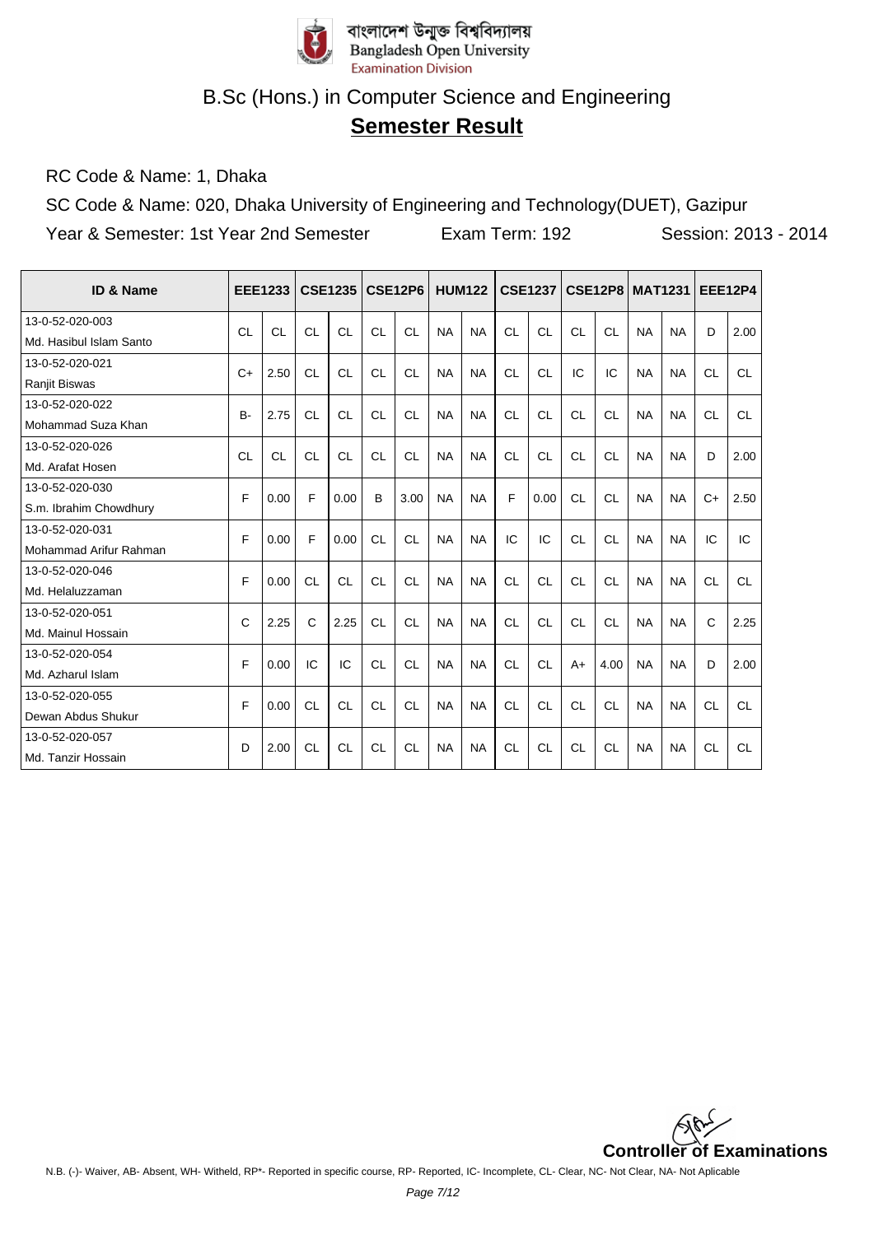

# **Semester Result**

RC Code & Name: 1, Dhaka

SC Code & Name: 020, Dhaka University of Engineering and Technology(DUET), Gazipur

| ID & Name               |           | <b>EEE1233</b> |              | <b>CSE1235</b> |           | <b>CSE12P6</b> |           | <b>HUM122</b> |           | <b>CSE1237</b> |           | <b>CSE12P8</b> | <b>MAT1231</b> |           | <b>EEE12P4</b> |           |
|-------------------------|-----------|----------------|--------------|----------------|-----------|----------------|-----------|---------------|-----------|----------------|-----------|----------------|----------------|-----------|----------------|-----------|
| 13-0-52-020-003         | CL        | <b>CL</b>      | CL           | CL             | CL        | CL             | <b>NA</b> | <b>NA</b>     | CL        | CL             | CL        | CL             | <b>NA</b>      | <b>NA</b> | D              | 2.00      |
| Md. Hasibul Islam Santo |           |                |              |                |           |                |           |               |           |                |           |                |                |           |                |           |
| 13-0-52-020-021         | $C+$      | 2.50           | <b>CL</b>    | CL             | <b>CL</b> | CL             | <b>NA</b> | <b>NA</b>     | CL        | CL             | IC        | IC             | <b>NA</b>      | <b>NA</b> | CL             | <b>CL</b> |
| <b>Ranjit Biswas</b>    |           |                |              |                |           |                |           |               |           |                |           |                |                |           |                |           |
| 13-0-52-020-022         | $B -$     | 2.75           | <b>CL</b>    | <b>CL</b>      | <b>CL</b> | <b>CL</b>      | <b>NA</b> | <b>NA</b>     | <b>CL</b> | <b>CL</b>      | <b>CL</b> | <b>CL</b>      | <b>NA</b>      | <b>NA</b> | <b>CL</b>      | <b>CL</b> |
| Mohammad Suza Khan      |           |                |              |                |           |                |           |               |           |                |           |                |                |           |                |           |
| 13-0-52-020-026         | <b>CL</b> | <b>CL</b>      | CL           | <b>CL</b>      | <b>CL</b> | CL             | <b>NA</b> | <b>NA</b>     | <b>CL</b> | <b>CL</b>      | <b>CL</b> | <b>CL</b>      | <b>NA</b>      | <b>NA</b> | D              | 2.00      |
| Md. Arafat Hosen        |           |                |              |                |           |                |           |               |           |                |           |                |                |           |                |           |
| 13-0-52-020-030         | F         | 0.00           | F            | 0.00           | B         | 3.00           | <b>NA</b> | <b>NA</b>     | F         | 0.00           | <b>CL</b> | CL             | <b>NA</b>      | <b>NA</b> | $C+$           | 2.50      |
| S.m. Ibrahim Chowdhury  |           |                |              |                |           |                |           |               |           |                |           |                |                |           |                |           |
| 13-0-52-020-031         | F         | 0.00           | F            | 0.00           | <b>CL</b> | <b>CL</b>      | <b>NA</b> | <b>NA</b>     | IC        | IC             | <b>CL</b> | <b>CL</b>      | <b>NA</b>      | <b>NA</b> | IC             | IC        |
| Mohammad Arifur Rahman  |           |                |              |                |           |                |           |               |           |                |           |                |                |           |                |           |
| 13-0-52-020-046         | F         | 0.00           | <b>CL</b>    | <b>CL</b>      | CL        | CL             | <b>NA</b> | <b>NA</b>     | CL        | CL             | <b>CL</b> | CL             | <b>NA</b>      | <b>NA</b> | <b>CL</b>      | <b>CL</b> |
| Md. Helaluzzaman        |           |                |              |                |           |                |           |               |           |                |           |                |                |           |                |           |
| 13-0-52-020-051         | C         | 2.25           | $\mathsf{C}$ | 2.25           | <b>CL</b> | <b>CL</b>      | <b>NA</b> | <b>NA</b>     | <b>CL</b> | <b>CL</b>      | <b>CL</b> | <b>CL</b>      | <b>NA</b>      | <b>NA</b> | C              | 2.25      |
| Md. Mainul Hossain      |           |                |              |                |           |                |           |               |           |                |           |                |                |           |                |           |
| 13-0-52-020-054         | F         | 0.00           | IC           | IC             | CL        | CL             | <b>NA</b> | <b>NA</b>     | CL        | CL             | $A+$      | 4.00           | <b>NA</b>      | <b>NA</b> | D              | 2.00      |
| Md. Azharul Islam       |           |                |              |                |           |                |           |               |           |                |           |                |                |           |                |           |
| 13-0-52-020-055         | F         | 0.00           | <b>CL</b>    | <b>CL</b>      | <b>CL</b> | <b>CL</b>      | <b>NA</b> | <b>NA</b>     | <b>CL</b> | <b>CL</b>      | <b>CL</b> | CL             | <b>NA</b>      | <b>NA</b> | <b>CL</b>      | <b>CL</b> |
| Dewan Abdus Shukur      |           |                |              |                |           |                |           |               |           |                |           |                |                |           |                |           |
| 13-0-52-020-057         | D         | 2.00           | CL           | <b>CL</b>      | <b>CL</b> | <b>CL</b>      | <b>NA</b> | <b>NA</b>     | <b>CL</b> | CL             | <b>CL</b> | CL             | <b>NA</b>      | <b>NA</b> | <b>CL</b>      | CL        |
| Md. Tanzir Hossain      |           |                |              |                |           |                |           |               |           |                |           |                |                |           |                |           |

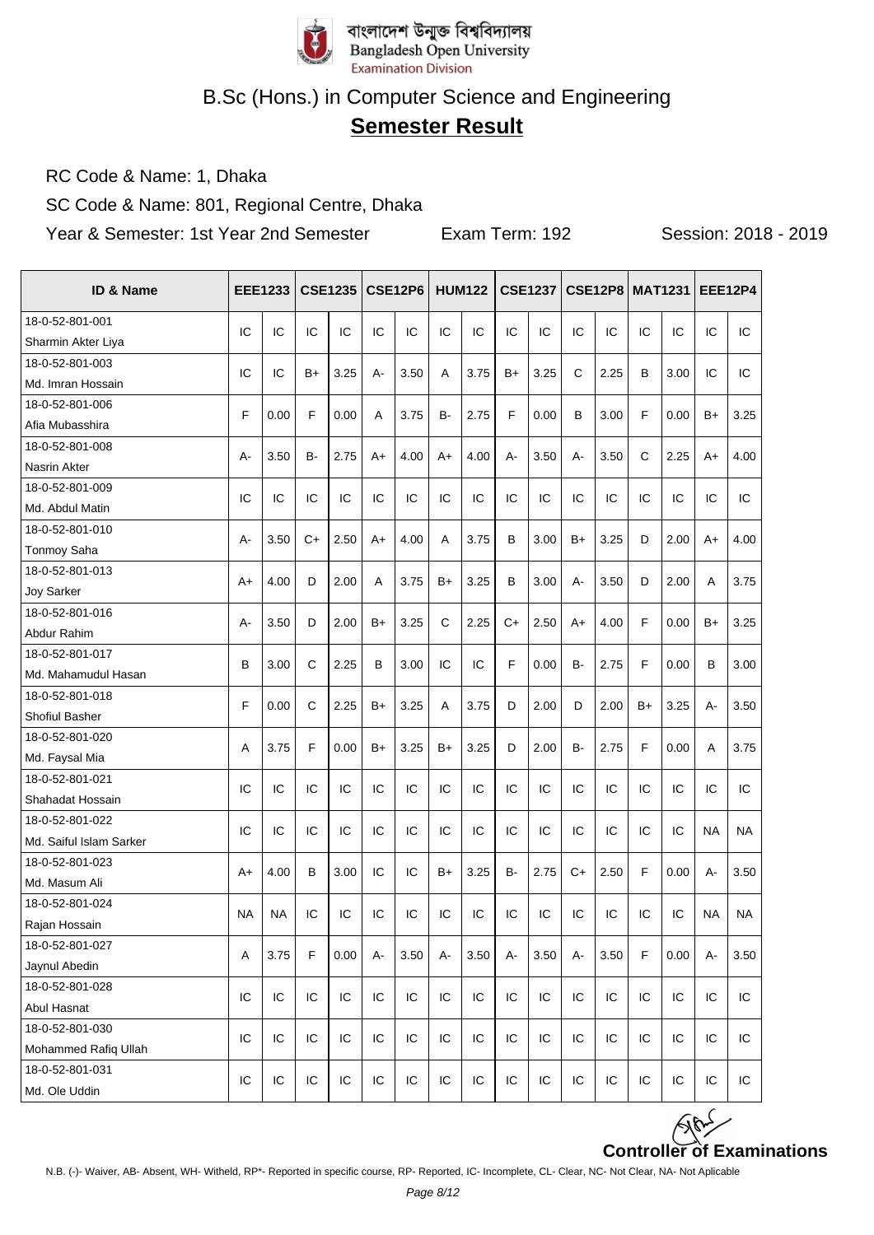

# **Semester Result**

RC Code & Name: 1, Dhaka

SC Code & Name: 801, Regional Centre, Dhaka

| <b>ID &amp; Name</b>    |           | <b>EEE1233</b> |              | <b>CSE1235</b> |      | <b>CSE12P6</b> |      | <b>HUM122</b> |       | <b>CSE1237</b> |             | <b>CSE12P8 MAT1231</b> |              |      |           | <b>EEE12P4</b> |
|-------------------------|-----------|----------------|--------------|----------------|------|----------------|------|---------------|-------|----------------|-------------|------------------------|--------------|------|-----------|----------------|
| 18-0-52-801-001         |           |                |              |                |      |                |      |               |       |                |             |                        |              |      |           |                |
| Sharmin Akter Liya      | IC        | IC             | IC           | IC             | IC   | IC             | IC   | IC            | IC    | IC             | IC          | IC                     | IC           | IC   | IC        | IC             |
| 18-0-52-801-003         |           |                |              |                |      |                |      |               |       |                |             |                        |              |      |           |                |
| Md. Imran Hossain       | IC        | IC             | B+           | 3.25           | А-   | 3.50           | A    | 3.75          | B+    | 3.25           | $\mathsf C$ | 2.25                   | B            | 3.00 | IC        | IC             |
| 18-0-52-801-006         | F         | 0.00           | F            |                |      | 3.75           | в-   | 2.75          | F     |                |             | 3.00                   | F            | 0.00 |           |                |
| Afia Mubasshira         |           |                |              | 0.00           | Α    |                |      |               |       | 0.00           | В           |                        |              |      | B+        | 3.25           |
| 18-0-52-801-008         | A-        | 3.50           | <b>B-</b>    | 2.75           | $A+$ | 4.00           | $A+$ | 4.00          | $A -$ | 3.50           | $A -$       | 3.50                   | $\mathsf{C}$ | 2.25 | A+        | 4.00           |
| Nasrin Akter            |           |                |              |                |      |                |      |               |       |                |             |                        |              |      |           |                |
| 18-0-52-801-009         | IC        | IC             | IC           | IC             | IC   | IC             | IC   | IC            | IC    | IC             | IC          | IC                     | IC           | IC   | IC        | IC             |
| Md. Abdul Matin         |           |                |              |                |      |                |      |               |       |                |             |                        |              |      |           |                |
| 18-0-52-801-010         | А-        | 3.50           | $C+$         | 2.50           | A+   | 4.00           | A    | 3.75          | B     | 3.00           | B+          | 3.25                   | D            | 2.00 | A+        | 4.00           |
| Tonmoy Saha             |           |                |              |                |      |                |      |               |       |                |             |                        |              |      |           |                |
| 18-0-52-801-013         | $A+$      | 4.00           | D            | 2.00           | A    | 3.75           | $B+$ | 3.25          | B     | 3.00           | $A -$       | 3.50                   | D            | 2.00 | A         | 3.75           |
| Joy Sarker              |           |                |              |                |      |                |      |               |       |                |             |                        |              |      |           |                |
| 18-0-52-801-016         | А-        | 3.50           | D            | 2.00           | $B+$ | 3.25           | C    | 2.25          | $C+$  | 2.50           | A+          | 4.00                   | F            | 0.00 | B+        | 3.25           |
| Abdur Rahim             |           |                |              |                |      |                |      |               |       |                |             |                        |              |      |           |                |
| 18-0-52-801-017         | B         | 3.00           | C            | 2.25           | B    | 3.00           | IC   | IC            | F     | 0.00           | <b>B-</b>   | 2.75                   | F            | 0.00 | B         | 3.00           |
| Md. Mahamudul Hasan     |           |                |              |                |      |                |      |               |       |                |             |                        |              |      |           |                |
| 18-0-52-801-018         | F         | 0.00           | $\mathsf{C}$ | 2.25           | B+   | 3.25           | A    | 3.75          | D     | 2.00           | D           | 2.00                   | $B+$         | 3.25 | $A -$     | 3.50           |
| Shofiul Basher          |           |                |              |                |      |                |      |               |       |                |             |                        |              |      |           |                |
| 18-0-52-801-020         | A         | 3.75           | F            | 0.00           | B+   | 3.25           | $B+$ | 3.25          | D     | 2.00           | <b>B-</b>   | 2.75                   | F            | 0.00 | A         | 3.75           |
| Md. Faysal Mia          |           |                |              |                |      |                |      |               |       |                |             |                        |              |      |           |                |
| 18-0-52-801-021         | IC        | IC             | IC           | IC             | IC   | IC             | IC   | IC            | IC    | IC             | IC          | IC                     | IC           | IC   | IC        | IC             |
| Shahadat Hossain        |           |                |              |                |      |                |      |               |       |                |             |                        |              |      |           |                |
| 18-0-52-801-022         | IC        | IC             | IC           | IC             | IC   | IC             | IC   | IC            | IC    | IC             | IC          | IC                     | IC           | IC   | <b>NA</b> | <b>NA</b>      |
| Md. Saiful Islam Sarker |           |                |              |                |      |                |      |               |       |                |             |                        |              |      |           |                |
| 18-0-52-801-023         | $A+$      | 4.00           | B            | 3.00           | IC   | IC             | $B+$ | 3.25          | B-    | 2.75           | $C+$        | 2.50                   | F            | 0.00 | A-        | 3.50           |
| Md. Masum Ali           |           |                |              |                |      |                |      |               |       |                |             |                        |              |      |           |                |
| 18-0-52-801-024         | <b>NA</b> | <b>NA</b>      | IC           | IC             | IC   | IC             | IC   | IC            | IC    | IC             | IC          | IC                     | IC           | IC   | <b>NA</b> | <b>NA</b>      |
| Rajan Hossain           |           |                |              |                |      |                |      |               |       |                |             |                        |              |      |           |                |
| 18-0-52-801-027         | Α         | 3.75           | F            | 0.00           | А-   | 3.50           | А-   | 3.50          | А-    | 3.50           | А-          | 3.50                   | F            | 0.00 | А-        | 3.50           |
| Jaynul Abedin           |           |                |              |                |      |                |      |               |       |                |             |                        |              |      |           |                |
| 18-0-52-801-028         | IC        | IC             | IC           | IC             | IC   | IC             | IC   | IC            | IC    | IC             | IC          | IC                     | IC           | IC   | IC        | IC             |
| Abul Hasnat             |           |                |              |                |      |                |      |               |       |                |             |                        |              |      |           |                |
| 18-0-52-801-030         | IC        | IC             | IC           | IC             | IC.  | IC             | IC   | IC            | IC    | IC             | IC          | IC                     | IC           | IC   | IC        | IC             |
| Mohammed Rafiq Ullah    |           |                |              |                |      |                |      |               |       |                |             |                        |              |      |           |                |
| 18-0-52-801-031         | IC        | IC             | IC           | IC             | IC   | IC             | IC   | IC            | IC    | IC             | IC          | IC                     | IC           | IC   | IC        | IC             |
| Md. Ole Uddin           |           |                |              |                |      |                |      |               |       |                |             |                        |              |      |           |                |

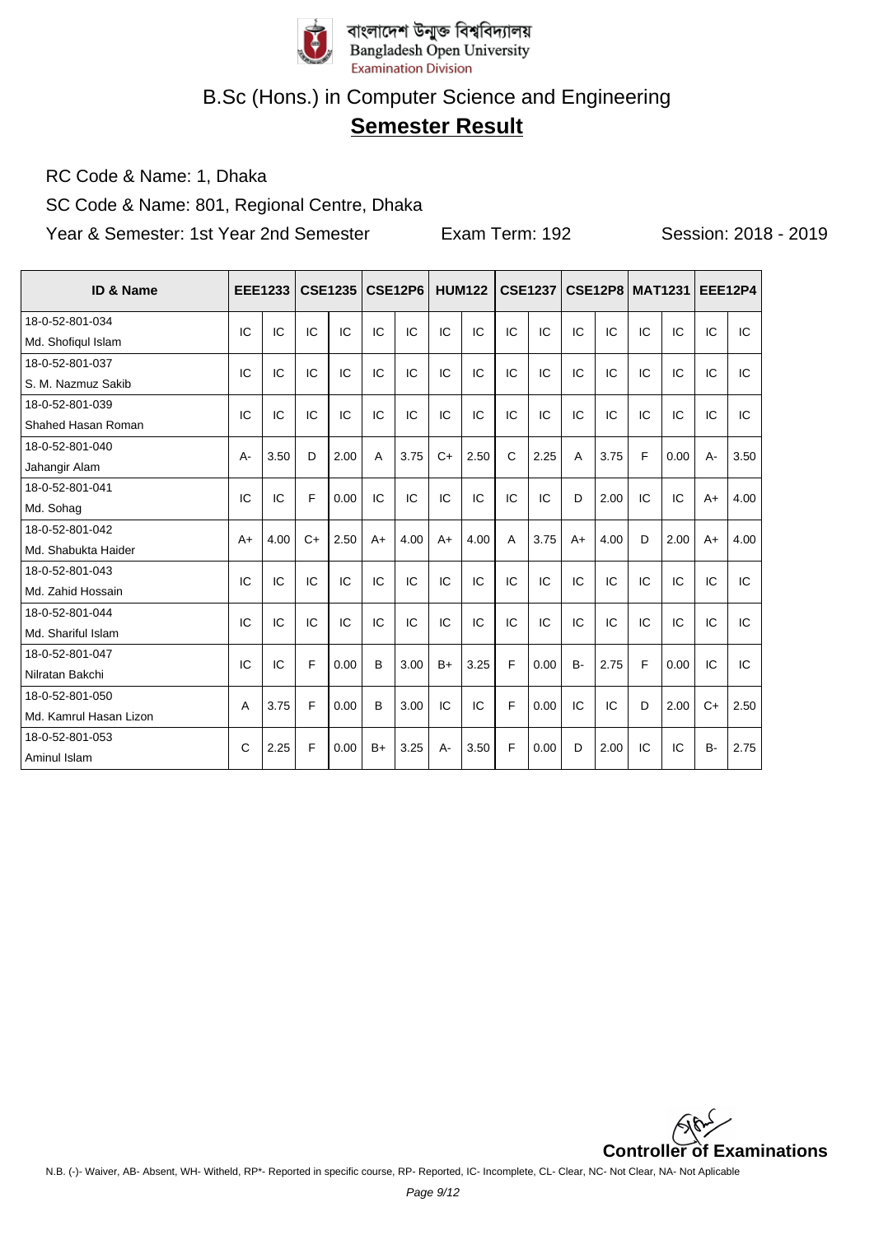

# **Semester Result**

RC Code & Name: 1, Dhaka

SC Code & Name: 801, Regional Centre, Dhaka

| ID & Name              |       | <b>EEE1233</b> |      | <b>CSE1235</b> |      | <b>CSE12P6</b> |      | <b>HUM122</b> |              | <b>CSE1237</b> |           | <b>CSE12P8</b> |    | <b>MAT1231</b> | <b>EEE12P4</b> |      |
|------------------------|-------|----------------|------|----------------|------|----------------|------|---------------|--------------|----------------|-----------|----------------|----|----------------|----------------|------|
| 18-0-52-801-034        | IC    | IC             | IC   | IC             | IC   | IC             | IC   | IC            | IC           | IC             | IC        | IC             | IC | IC             | IC             | IC   |
| Md. Shofiqul Islam     |       |                |      |                |      |                |      |               |              |                |           |                |    |                |                |      |
| 18-0-52-801-037        | IC    | IC             | IC   | IC             | IC   | IC             | IC   | IC            | IC           | IC             | IC        | IC             | IC | IC             | IC             | IC   |
| S. M. Nazmuz Sakib     |       |                |      |                |      |                |      |               |              |                |           |                |    |                |                |      |
| 18-0-52-801-039        | IC    | IC             | IC   | IC             | IC   | IC             | IC   | IC            | IC           | IC             | IC        | IC             | IC | IC             | IC             | IC   |
| Shahed Hasan Roman     |       |                |      |                |      |                |      |               |              |                |           |                |    |                |                |      |
| 18-0-52-801-040        | $A -$ | 3.50           | D    | 2.00           | A    | 3.75           | $C+$ | 2.50          | $\mathsf{C}$ | 2.25           | A         | 3.75           | F  | 0.00           | A-             | 3.50 |
| Jahangir Alam          |       |                |      |                |      |                |      |               |              |                |           |                |    |                |                |      |
| 18-0-52-801-041        | IC    | IC             | F    | 0.00           | IC   | IC             | IC   | IC            | IC           | IC             | D         | 2.00           | IC | IC             | $A+$           | 4.00 |
| Md. Sohag              |       |                |      |                |      |                |      |               |              |                |           |                |    |                |                |      |
| 18-0-52-801-042        | $A+$  | 4.00           | $C+$ | 2.50           | $A+$ | 4.00           | $A+$ | 4.00          | A            | 3.75           | $A+$      | 4.00           | D  | 2.00           | $A+$           | 4.00 |
| Md. Shabukta Haider    |       |                |      |                |      |                |      |               |              |                |           |                |    |                |                |      |
| 18-0-52-801-043        | IC    | IC             | IC   | IC             | IC   | IC             | IC   | IC            | IC           | IC             | IC        | IC             | IC | IC             | IC             | IC   |
| Md. Zahid Hossain      |       |                |      |                |      |                |      |               |              |                |           |                |    |                |                |      |
| 18-0-52-801-044        | IC    | IC             | IC   | IC             | IC   | IC             | IC   | IC            | IC           | IC             | IC        | IC             | IC | IC             | IC             | IC   |
| Md. Shariful Islam     |       |                |      |                |      |                |      |               |              |                |           |                |    |                |                |      |
| 18-0-52-801-047        | IC    | IC             | F    | 0.00           | B    | 3.00           | $B+$ | 3.25          | F            | 0.00           | <b>B-</b> | 2.75           | F  | 0.00           | IC             | IC   |
| Nilratan Bakchi        |       |                |      |                |      |                |      |               |              |                |           |                |    |                |                |      |
| 18-0-52-801-050        |       |                | F    | 0.00           | B    | 3.00           | IC   | IC            | F            | 0.00           | IC        | IC             | D  | 2.00           | $C+$           | 2.50 |
| Md. Kamrul Hasan Lizon | A     | 3.75           |      |                |      |                |      |               |              |                |           |                |    |                |                |      |
| 18-0-52-801-053        | C     | 2.25           | F    | 0.00           | $B+$ | 3.25           | A-   | 3.50          | F            | 0.00           | D         | 2.00           | IC | IC             | <b>B-</b>      | 2.75 |
| Aminul Islam           |       |                |      |                |      |                |      |               |              |                |           |                |    |                |                |      |

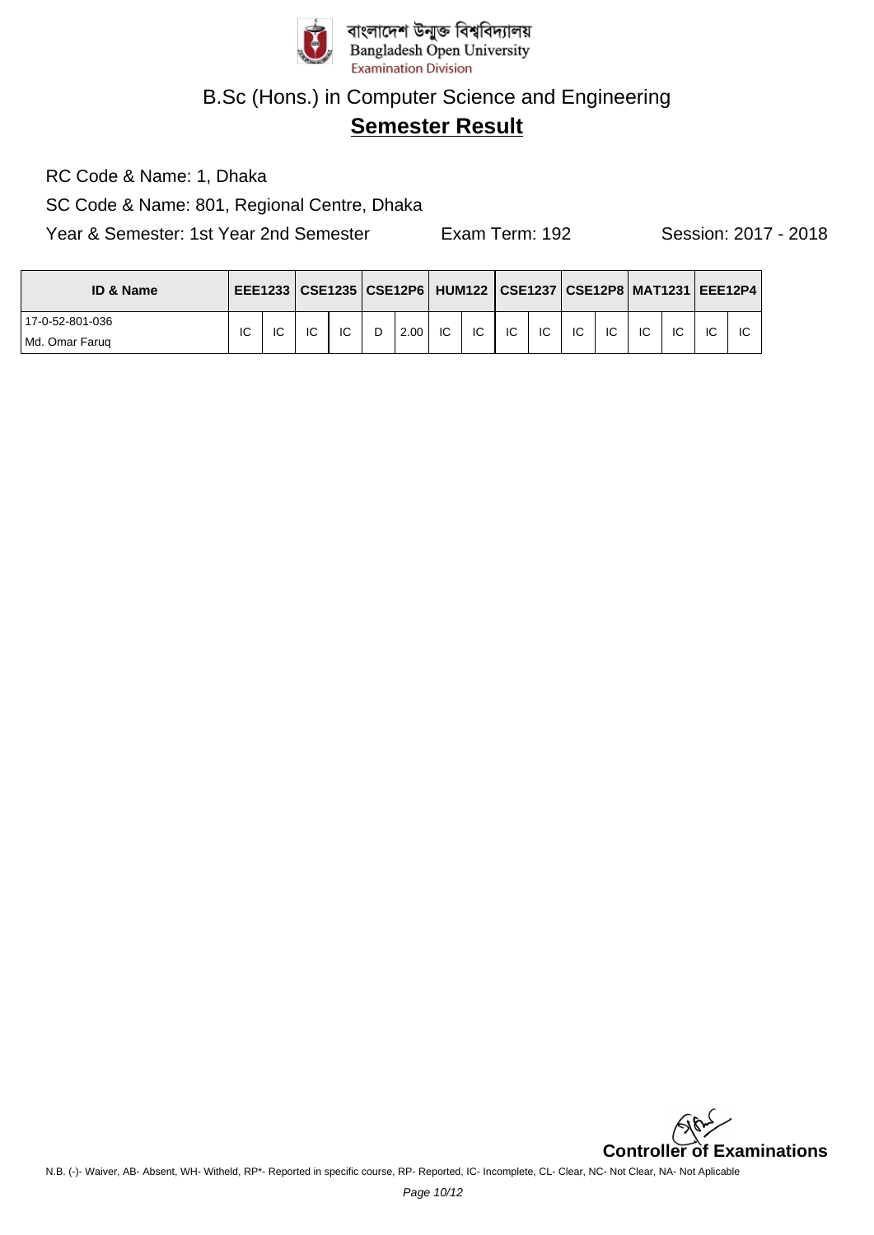

# **Semester Result**

RC Code & Name: 1, Dhaka

SC Code & Name: 801, Regional Centre, Dhaka

| <b>ID &amp; Name</b> |    |    |    |    |   | EEE1233   CSE1235   CSE12P6   HUM122   CSE1237   CSE12P8   MAT1231   EEE12P4 |    |     |    |    |    |    |    |    |    |    |
|----------------------|----|----|----|----|---|------------------------------------------------------------------------------|----|-----|----|----|----|----|----|----|----|----|
| 17-0-52-801-036      | IC | IC | IC | IC | D | 2.00                                                                         | ТC | IC. | IC | IC | IC | IC | IC | IC | IC | ΙC |
| Md. Omar Farug       |    |    |    |    |   |                                                                              |    |     |    |    |    |    |    |    |    |    |

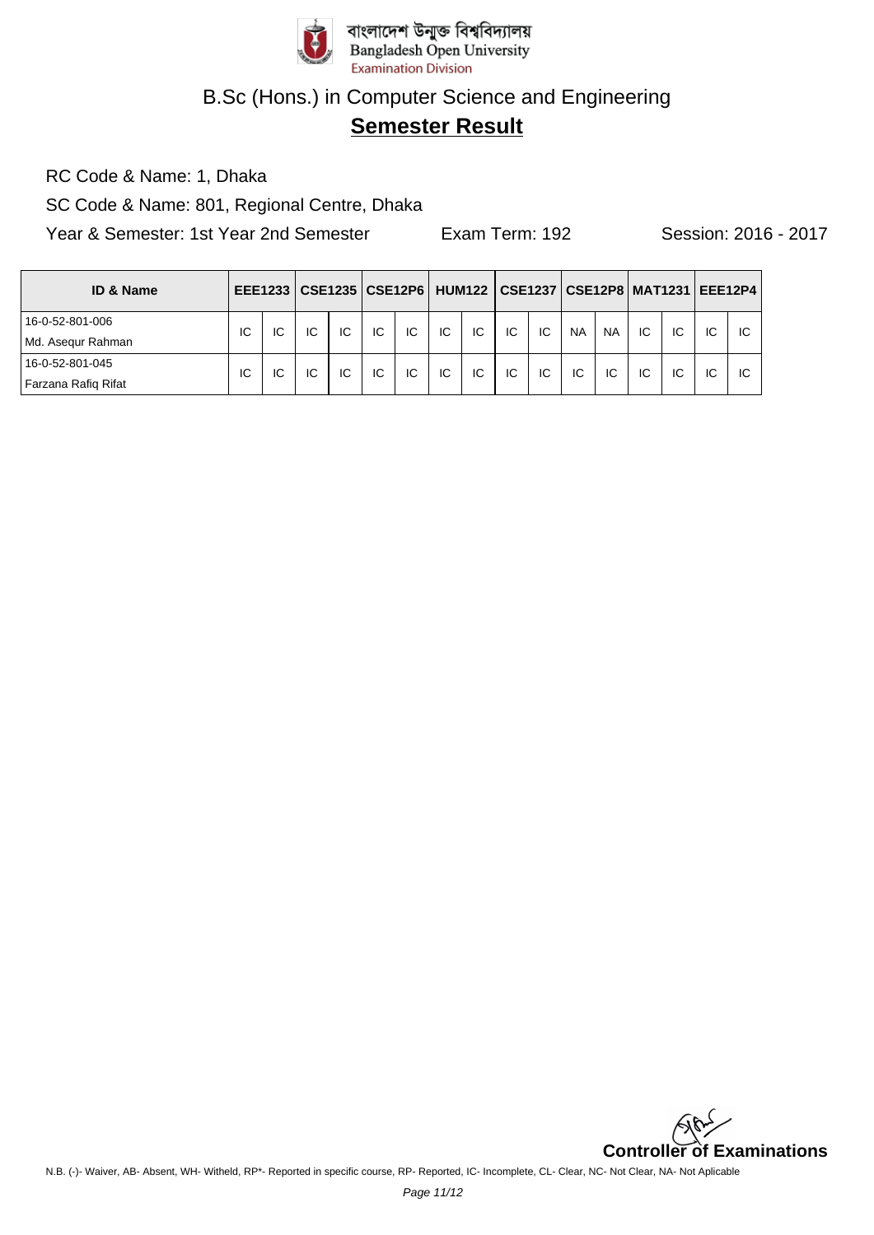

# **Semester Result**

RC Code & Name: 1, Dhaka

SC Code & Name: 801, Regional Centre, Dhaka

| <b>ID &amp; Name</b> |    |     |    |    | EEE1233   CSE1235   CSE12P6   HUM122   CSE1237   CSE12P8   MAT1231   EEE12P4 |    |    |    |    |    |           |           |    |    |    |    |
|----------------------|----|-----|----|----|------------------------------------------------------------------------------|----|----|----|----|----|-----------|-----------|----|----|----|----|
| 16-0-52-801-006      | IC | IC  | IC | IC | IC.                                                                          | IC | IC | IC | IC | IC | <b>NA</b> | <b>NA</b> | IC | IC | IC | IC |
| Md. Asegur Rahman    |    |     |    |    |                                                                              |    |    |    |    |    |           |           |    |    |    |    |
| 16-0-52-801-045      | ТC | IC. | IC | IC | IC                                                                           | IC | IC | IC | IC | IC | IC        | IC        | IC | IC | IC | IC |
| Farzana Rafig Rifat  |    |     |    |    |                                                                              |    |    |    |    |    |           |           |    |    |    |    |